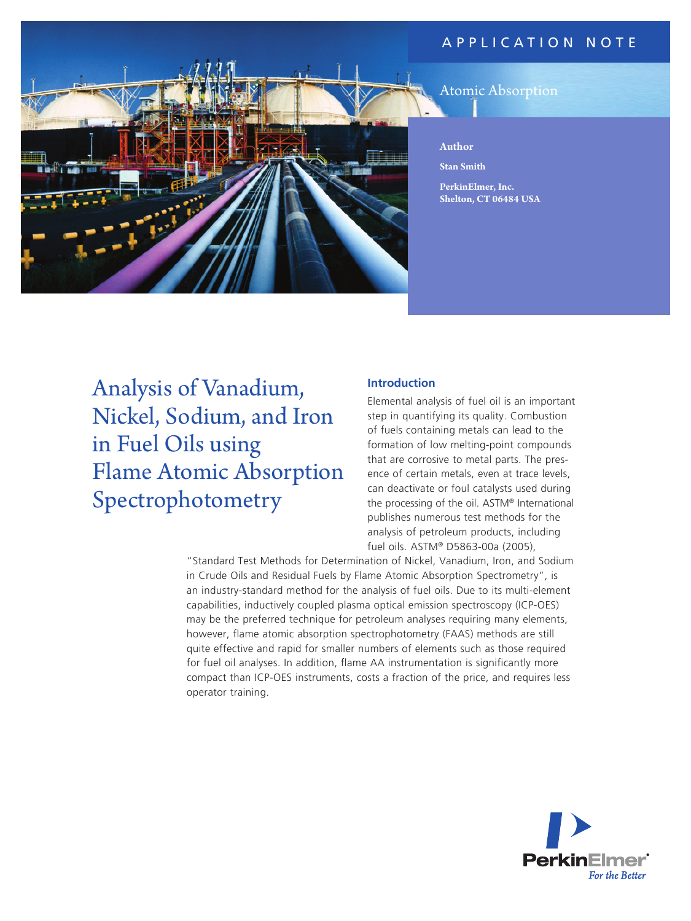# application N ote



# Atomic Absorption

**Author**

**Stan Smith**

**PerkinElmer, Inc. Shelton, CT 06484 USA**

Analysis of Vanadium, Nickel, Sodium, and Iron in Fuel Oils using Flame Atomic Absorption Spectrophotometry

## **Introduction**

Elemental analysis of fuel oil is an important step in quantifying its quality. Combustion of fuels containing metals can lead to the formation of low melting-point compounds that are corrosive to metal parts. The presence of certain metals, even at trace levels, can deactivate or foul catalysts used during the processing of the oil. ASTM® International publishes numerous test methods for the analysis of petroleum products, including fuel oils. ASTM® D5863-00a (2005),

"Standard Test Methods for Determination of Nickel, Vanadium, Iron, and Sodium in Crude Oils and Residual Fuels by Flame Atomic Absorption Spectrometry", is an industry-standard method for the analysis of fuel oils. Due to its multi-element capabilities, inductively coupled plasma optical emission spectroscopy (ICP-OES) may be the preferred technique for petroleum analyses requiring many elements, however, flame atomic absorption spectrophotometry (FAAS) methods are still quite effective and rapid for smaller numbers of elements such as those required for fuel oil analyses. In addition, flame AA instrumentation is significantly more compact than ICP-OES instruments, costs a fraction of the price, and requires less operator training.

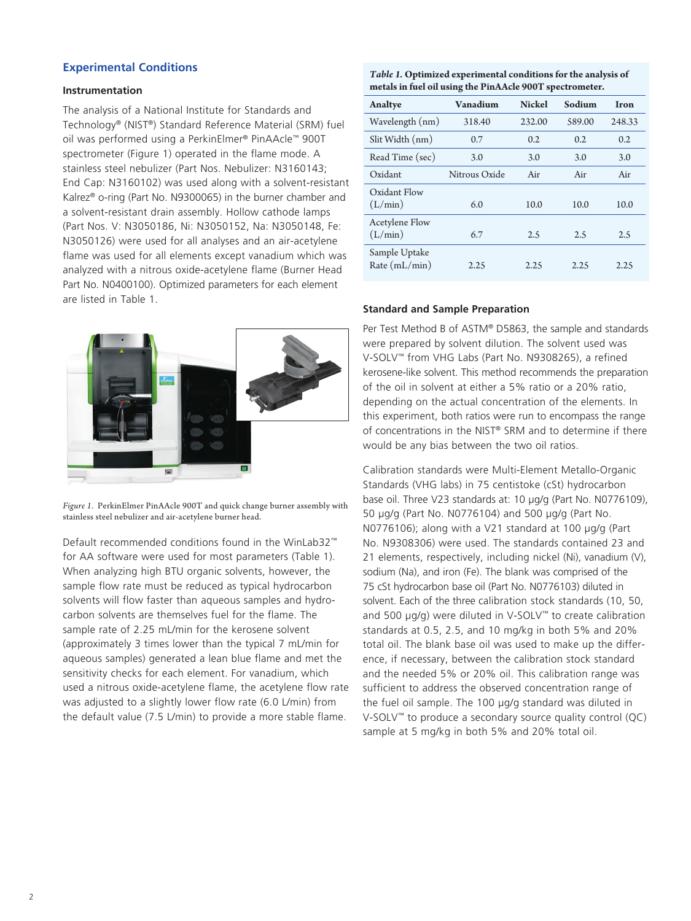## **Experimental Conditions**

#### **Instrumentation**

The analysis of a National Institute for Standards and Technology® (NIST®) Standard Reference Material (SRM) fuel oil was performed using a PerkinElmer® PinAAcle™ 900T spectrometer (Figure 1) operated in the flame mode. A stainless steel nebulizer (Part Nos. Nebulizer: N3160143; End Cap: N3160102) was used along with a solvent-resistant Kalrez® o-ring (Part No. N9300065) in the burner chamber and a solvent-resistant drain assembly. Hollow cathode lamps (Part Nos. V: N3050186, Ni: N3050152, Na: N3050148, Fe: N3050126) were used for all analyses and an air-acetylene flame was used for all elements except vanadium which was analyzed with a nitrous oxide-acetylene flame (Burner Head Part No. N0400100). Optimized parameters for each element are listed in Table 1.



*Figure 1.* PerkinElmer PinAAcle 900T and quick change burner assembly with stainless steel nebulizer and air-acetylene burner head.

Default recommended conditions found in the WinLab32™ for AA software were used for most parameters (Table 1). When analyzing high BTU organic solvents, however, the sample flow rate must be reduced as typical hydrocarbon solvents will flow faster than aqueous samples and hydrocarbon solvents are themselves fuel for the flame. The sample rate of 2.25 mL/min for the kerosene solvent (approximately 3 times lower than the typical 7 mL/min for aqueous samples) generated a lean blue flame and met the sensitivity checks for each element. For vanadium, which used a nitrous oxide-acetylene flame, the acetylene flow rate was adjusted to a slightly lower flow rate (6.0 L/min) from the default value (7.5 L/min) to provide a more stable flame.

*Table 1.* **Optimized experimental conditions for the analysis of metals in fuel oil using the PinAAcle 900T spectrometer.**

| Analtye                          | Vanadium      | <b>Nickel</b> | Sodium | Iron   |
|----------------------------------|---------------|---------------|--------|--------|
| Wavelength (nm)                  | 318.40        | 232.00        | 589.00 | 248.33 |
| Slit Width (nm)                  | 0.7           | 0.2           | 0.2    | 0.2    |
| Read Time (sec)                  | 3.0           | 3.0           | 3.0    | 3.0    |
| Oxidant                          | Nitrous Oxide | Air           | Air    | Air    |
| Oxidant Flow<br>(L/min)          | 6.0           | 10.0          | 10.0   | 10.0   |
| <b>Acetylene Flow</b><br>(L/min) | 6.7           | 2.5           | 2.5    | 2.5    |
| Sample Uptake<br>Rate (mL/min)   | 2.25          | 2.25          | 2.25   | 2.25   |

#### **Standard and Sample Preparation**

Per Test Method B of ASTM® D5863, the sample and standards were prepared by solvent dilution. The solvent used was V-SOLV™ from VHG Labs (Part No. N9308265), a refined kerosene-like solvent. This method recommends the preparation of the oil in solvent at either a 5% ratio or a 20% ratio, depending on the actual concentration of the elements. In this experiment, both ratios were run to encompass the range of concentrations in the NIST® SRM and to determine if there would be any bias between the two oil ratios.

Calibration standards were Multi-Element Metallo-Organic Standards (VHG labs) in 75 centistoke (cSt) hydrocarbon base oil. Three V23 standards at: 10 µg/g (Part No. N0776109), 50 µg/g (Part No. N0776104) and 500 µg/g (Part No. N0776106); along with a V21 standard at 100 µg/g (Part No. N9308306) were used. The standards contained 23 and 21 elements, respectively, including nickel (Ni), vanadium (V), sodium (Na), and iron (Fe). The blank was comprised of the 75 cSt hydrocarbon base oil (Part No. N0776103) diluted in solvent. Each of the three calibration stock standards (10, 50, and 500 µg/g) were diluted in V-SOLV™ to create calibration standards at 0.5, 2.5, and 10 mg/kg in both 5% and 20% total oil. The blank base oil was used to make up the difference, if necessary, between the calibration stock standard and the needed 5% or 20% oil. This calibration range was sufficient to address the observed concentration range of the fuel oil sample. The 100 µg/g standard was diluted in V-SOLV™ to produce a secondary source quality control (QC) sample at 5 mg/kg in both 5% and 20% total oil.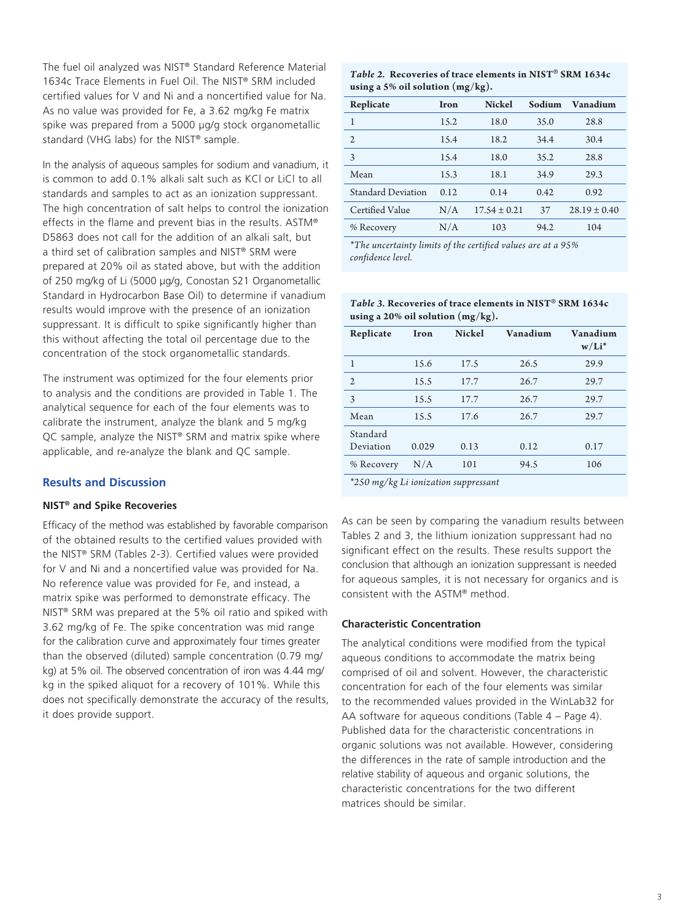The fuel oil analyzed was NIST® Standard Reference Material 1634c Trace Elements in Fuel Oil. The NIST® SRM included certified values for V and Ni and a noncertified value for Na. As no value was provided for Fe, a 3.62 mg/kg Fe matrix spike was prepared from a 5000 µg/g stock organometallic standard (VHG labs) for the NIST® sample.

In the analysis of aqueous samples for sodium and vanadium, it is common to add 0.1% alkali salt such as KCl or LiCl to all standards and samples to act as an ionization suppressant. The high concentration of salt helps to control the ionization effects in the flame and prevent bias in the results. ASTM® D5863 does not call for the addition of an alkali salt, but a third set of calibration samples and NIST® SRM were prepared at 20% oil as stated above, but with the addition of 250 mg/kg of Li (5000 µg/g, Conostan S21 Organometallic Standard in Hydrocarbon Base Oil) to determine if vanadium results would improve with the presence of an ionization suppressant. It is difficult to spike significantly higher than this without affecting the total oil percentage due to the concentration of the stock organometallic standards.

The instrument was optimized for the four elements prior to analysis and the conditions are provided in Table 1. The analytical sequence for each of the four elements was to calibrate the instrument, analyze the blank and 5 mg/kg QC sample, analyze the NIST® SRM and matrix spike where applicable, and re-analyze the blank and QC sample.

## **Results and Discussion**

#### **NIST® and Spike Recoveries**

Efficacy of the method was established by favorable comparison of the obtained results to the certified values provided with the NIST® SRM (Tables 2-3). Certified values were provided for V and Ni and a noncertified value was provided for Na. No reference value was provided for Fe, and instead, a matrix spike was performed to demonstrate efficacy. The NIST® SRM was prepared at the 5% oil ratio and spiked with 3.62 mg/kg of Fe. The spike concentration was mid range for the calibration curve and approximately four times greater than the observed (diluted) sample concentration (0.79 mg/ kg) at 5% oil. The observed concentration of iron was 4.44 mg/ kg in the spiked aliquot for a recovery of 101%. While this does not specifically demonstrate the accuracy of the results, it does provide support.

*Table 2.* **Recoveries of trace elements in NIST**® **SRM 1634c using a 5% oil solution (mg/kg).** 

| Replicate                 | Iron | <b>Nickel</b>    | Sodium | Vanadium         |
|---------------------------|------|------------------|--------|------------------|
| 1                         | 15.2 | 18.0             | 35.0   | 28.8             |
| $\mathfrak{2}$            | 15.4 | 18.2             | 34.4   | 30.4             |
| 3                         | 15.4 | 18.0             | 35.2   | 28.8             |
| Mean                      | 15.3 | 18.1             | 34.9   | 29.3             |
| <b>Standard Deviation</b> | 0.12 | 0.14             | 0.42   | 0.92             |
| Certified Value           | N/A  | $17.54 \pm 0.21$ | 37     | $28.19 \pm 0.40$ |
| % Recovery                | N/A  | 103              | 94.2   | 104              |

*\*The uncertainty limits of the certified values are at a 95% confidence level.*

*Table 3.* **Recoveries of trace elements in NIST**® **SRM 1634c using a 20% oil solution (mg/kg).** 

| Replicate                                                                               | Iron  | <b>Nickel</b> | Vanadium | Vanadium<br>$w/Li^*$ |
|-----------------------------------------------------------------------------------------|-------|---------------|----------|----------------------|
| 1                                                                                       | 15.6  | 17.5          | 26.5     | 29.9                 |
| $\overline{2}$                                                                          | 15.5  | 17.7          | 26.7     | 29.7                 |
| 3                                                                                       | 15.5  | 17.7          | 26.7     | 29.7                 |
| Mean                                                                                    | 15.5  | 17.6          | 26.7     | 29.7                 |
| Standard<br>Deviation                                                                   | 0.029 | 0.13          | 0.12     | 0.17                 |
| % Recovery                                                                              | N/A   | 101           | 94.5     | 106                  |
| $x \wedge r \wedge t = \frac{1}{2} \wedge \frac{1}{2} \wedge \cdots \wedge \frac{1}{r}$ |       |               |          |                      |

*\*250 mg/kg Li ionization suppressant*

As can be seen by comparing the vanadium results between Tables 2 and 3, the lithium ionization suppressant had no significant effect on the results. These results support the conclusion that although an ionization suppressant is needed for aqueous samples, it is not necessary for organics and is consistent with the ASTM® method.

#### **Characteristic Concentration**

The analytical conditions were modified from the typical aqueous conditions to accommodate the matrix being comprised of oil and solvent. However, the characteristic concentration for each of the four elements was similar to the recommended values provided in the WinLab32 for AA software for aqueous conditions (Table 4 – Page 4). Published data for the characteristic concentrations in organic solutions was not available. However, considering the differences in the rate of sample introduction and the relative stability of aqueous and organic solutions, the characteristic concentrations for the two different matrices should be similar.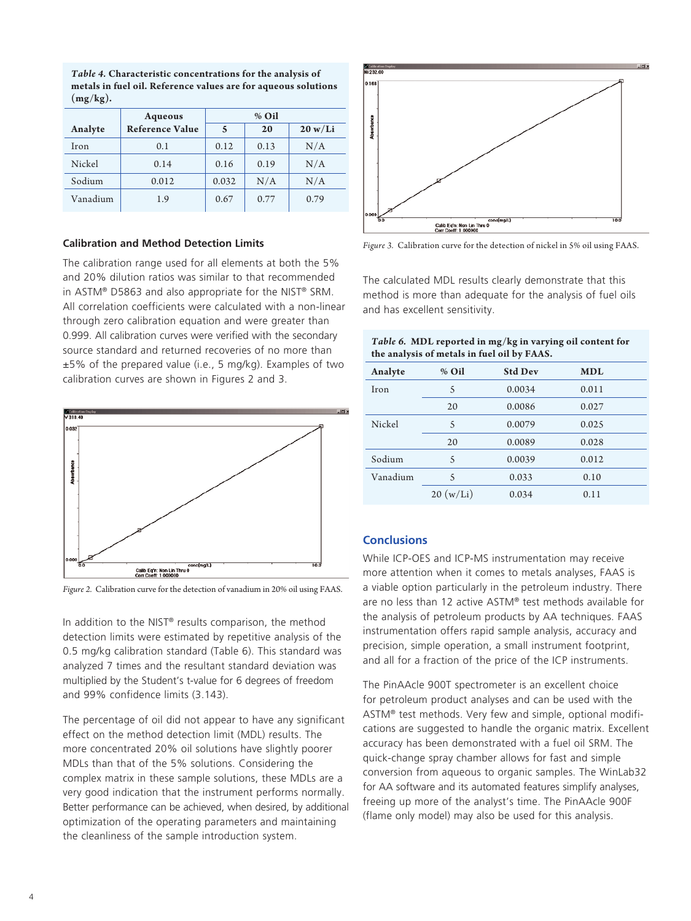| $\mathbf{y} = \mathbf{y}$ |                        |       |      |         |  |
|---------------------------|------------------------|-------|------|---------|--|
|                           | Aqueous                | % Oil |      |         |  |
| Analyte                   | <b>Reference Value</b> | 5     | 20   | 20 w/Li |  |
| Iron                      | 0.1                    | 0.12  | 0.13 | N/A     |  |
| Nickel                    | 0.14                   | 0.16  | 0.19 | N/A     |  |
| Sodium                    | 0.012                  | 0.032 | N/A  | N/A     |  |
| Vanadium                  | 1.9                    | 0.67  | 0.77 | 0.79    |  |

*Table 4.* **Characteristic concentrations for the analysis of metals in fuel oil. Reference values are for aqueous solutions (mg/kg).**

## **Calibration and Method Detection Limits**

The calibration range used for all elements at both the 5% and 20% dilution ratios was similar to that recommended in ASTM® D5863 and also appropriate for the NIST® SRM. All correlation coefficients were calculated with a non-linear through zero calibration equation and were greater than 0.999. All calibration curves were verified with the secondary source standard and returned recoveries of no more than ±5% of the prepared value (i.e., 5 mg/kg). Examples of two calibration curves are shown in Figures 2 and 3.



*Figure 2.* Calibration curve for the detection of vanadium in 20% oil using FAAS.

In addition to the NIST® results comparison, the method detection limits were estimated by repetitive analysis of the 0.5 mg/kg calibration standard (Table 6). This standard was analyzed 7 times and the resultant standard deviation was multiplied by the Student's t-value for 6 degrees of freedom and 99% confidence limits (3.143).

The percentage of oil did not appear to have any significant effect on the method detection limit (MDL) results. The more concentrated 20% oil solutions have slightly poorer MDLs than that of the 5% solutions. Considering the complex matrix in these sample solutions, these MDLs are a very good indication that the instrument performs normally. Better performance can be achieved, when desired, by additional optimization of the operating parameters and maintaining the cleanliness of the sample introduction system.



*Figure 3.* Calibration curve for the detection of nickel in 5% oil using FAAS.

The calculated MDL results clearly demonstrate that this method is more than adequate for the analysis of fuel oils and has excellent sensitivity.

| the analysis of metals in fuel oil by FAAS. |           |                |            |  |
|---------------------------------------------|-----------|----------------|------------|--|
| Analyte                                     | % Oil     | <b>Std Dev</b> | <b>MDL</b> |  |
| Iron                                        | 5         | 0.0034         | 0.011      |  |
|                                             | 20        | 0.0086         | 0.027      |  |
| Nickel                                      | 5         | 0.0079         | 0.025      |  |
|                                             | 20        | 0.0089         | 0.028      |  |
| Sodium                                      | 5         | 0.0039         | 0.012      |  |
| Vanadium                                    | 5         | 0.033          | 0.10       |  |
|                                             | 20 (w/Li) | 0.034          | 0.11       |  |

### *Table 6.* **MDL reported in mg/kg in varying oil content for the analysis of metals in fuel oil by FAAS.**

## **Conclusions**

While ICP-OES and ICP-MS instrumentation may receive more attention when it comes to metals analyses, FAAS is a viable option particularly in the petroleum industry. There are no less than 12 active ASTM® test methods available for the analysis of petroleum products by AA techniques. FAAS instrumentation offers rapid sample analysis, accuracy and precision, simple operation, a small instrument footprint, and all for a fraction of the price of the ICP instruments.

The PinAAcle 900T spectrometer is an excellent choice for petroleum product analyses and can be used with the ASTM® test methods. Very few and simple, optional modifications are suggested to handle the organic matrix. Excellent accuracy has been demonstrated with a fuel oil SRM. The quick-change spray chamber allows for fast and simple conversion from aqueous to organic samples. The WinLab32 for AA software and its automated features simplify analyses, freeing up more of the analyst's time. The PinAAcle 900F (flame only model) may also be used for this analysis.